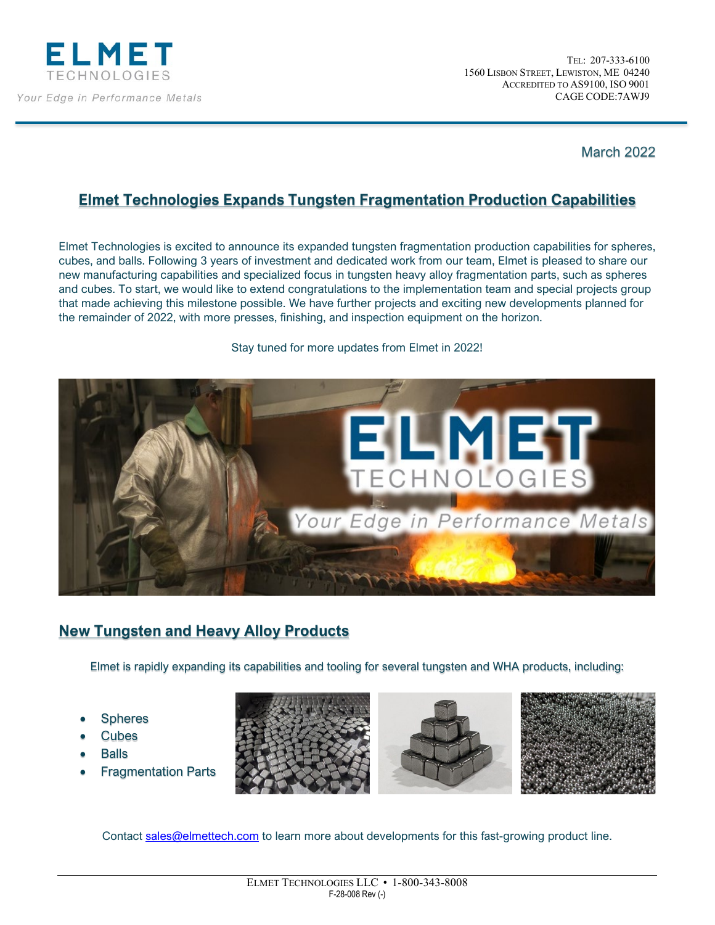

March 2022

## **Elmet Technologies Expands Tungsten Fragmentation Production Capabilities**

Elmet Technologies is excited to announce its expanded tungsten fragmentation production capabilities for spheres, cubes, and balls. Following 3 years of investment and dedicated work from our team, Elmet is pleased to share our new manufacturing capabilities and specialized focus in tungsten heavy alloy fragmentation parts, such as spheres and cubes. To start, we would like to extend congratulations to the implementation team and special projects group that made achieving this milestone possible. We have further projects and exciting new developments planned for the remainder of 2022, with more presses, finishing, and inspection equipment on the horizon.



Stay tuned for more updates from Elmet in 2022!

## **New Tungsten and Heavy Alloy Products**

Elmet is rapidly expanding its capabilities and tooling for several tungsten and WHA products, including:

- **Spheres**
- **Cubes**
- **Balls**
- Fragmentation Parts





Contact [sales@elmettech.com](https://www.elmettechnologies.com/about-elmet/contact-us/) to learn more about developments for this fast-growing product line.